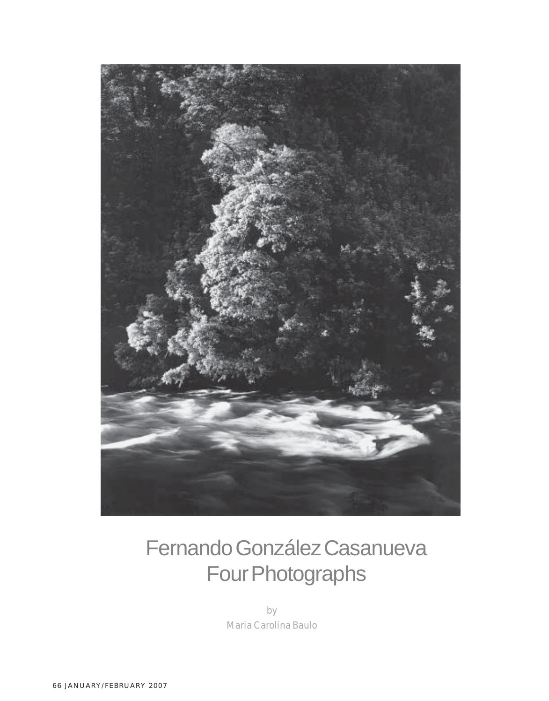

## Fernando González Casanueva Four Photographs

*by Maria Carolina Baulo*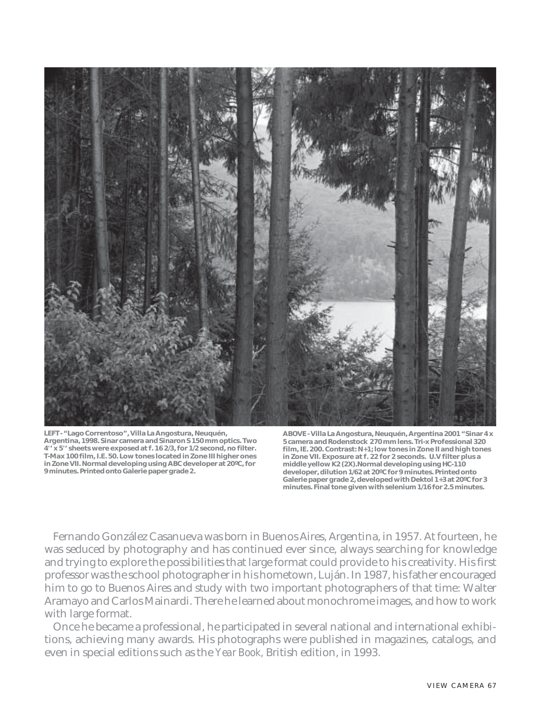

**LEFT - "Lago Correntoso", Villa La Angostura, Neuquén, Argentina, 1998. Sinar camera and Sinaron S 150 mm optics. Two 4'' x 5'' sheets were exposed at f. 16 2/3, for 1/2 second, no filter. T-Max 100 film, I.E. 50. Low tones located in Zone III higher ones in Zone VII. Normal developing using ABC developer at 20ºC, for 9 minutes. Printed onto Galerie paper grade 2.**

**ABOVE - Villa La Angostura, Neuquén, Argentina 2001 "Sinar 4 x 5 camera and Rodenstock 270 mm lens. Tri-x Professional 320 film, IE. 200. Contrast: N+1; low tones in Zone II and high tones in Zone VII. Exposure at f. 22 for 2 seconds. U.V filter plus a middle yellow K2 (2X).Normal developing using HC-110 developer, dilution 1/62 at 20ºC for 9 minutes. Printed onto Galerie paper grade 2, developed with Dektol 1+3 at 20ºC for 3 minutes. Final tone given with selenium 1/16 for 2.5 minutes.**

Fernando González Casanueva was born in Buenos Aires, Argentina, in 1957. At fourteen, he was seduced by photography and has continued ever since, always searching for knowledge and trying to explore the possibilities that large format could provide to his creativity. His first professor was the school photographer in his hometown, Luján. In 1987, his father encouraged him to go to Buenos Aires and study with two important photographers of that time: Walter Aramayo and Carlos Mainardi. There he learned about monochrome images, and how to work with large format.

Once he became a professional, he participated in several national and international exhibitions, achieving many awards. His photographs were published in magazines, catalogs, and even in special editions such as the *Year Book,* British edition, in 1993.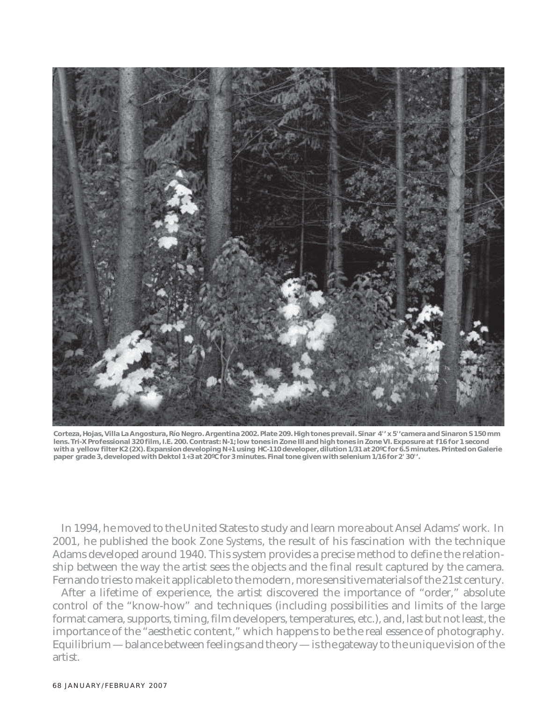

**Corteza, Hojas, Villa La Angostura, Río Negro. Argentina 2002. Plate 209. High tones prevail. Sinar 4'' x 5''camera and Sinaron S 150 mm lens. Tri-X Professional 320 film, I.E. 200. Contrast: N-1; low tones in Zone III and high tones in Zone VI. Exposure at** *f***16 for 1 second with a yellow filter K2 (2X). Expansion developing N+1 using HC-110 developer, dilution 1/31 at 20ºC for 6.5 minutes. Printed on Galerie paper grade 3, developed with Dektol 1+3 at 20ºC for 3 minutes. Final tone given with selenium 1/16 for 2' 30''.**

In 1994, he moved to the United States to study and learn more about Ansel Adams' work. In 2001, he published the book *Zone Systems*, the result of his fascination with the technique Adams developed around 1940. This system provides a precise method to define the relationship between the way the artist sees the objects and the final result captured by the camera. Fernando tries to make it applicable to the modern, more sensitive materials of the 21st century.

After a lifetime of experience, the artist discovered the importance of "order," absolute control of the "know-how" and techniques (including possibilities and limits of the large format camera, supports, timing, film developers, temperatures, etc.), and, last but not least, the importance of the "aesthetic content," which happens to be the real essence of photography. Equilibrium — balance between feelings and theory — is the gateway to the unique vision of the artist.